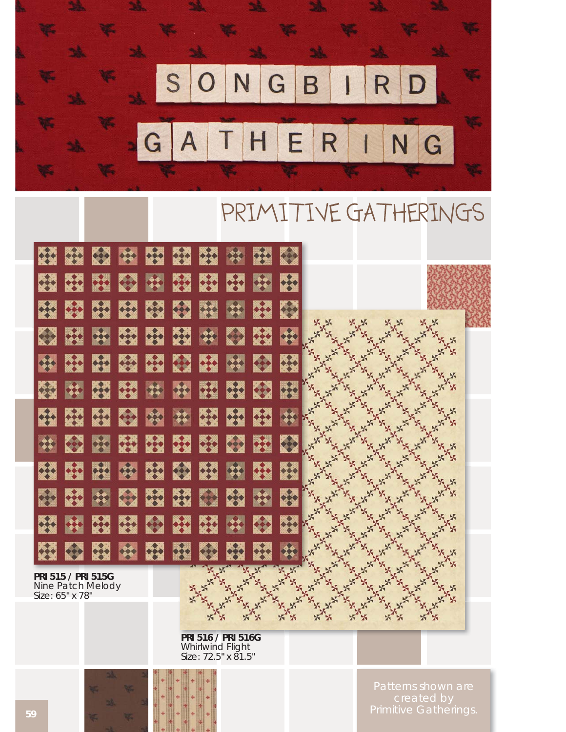

# PRIMITIVE GATHERINGS



**PRI 516 / PRI 516G**  Whirlwind Flight Size: 72.5" x 81.5"

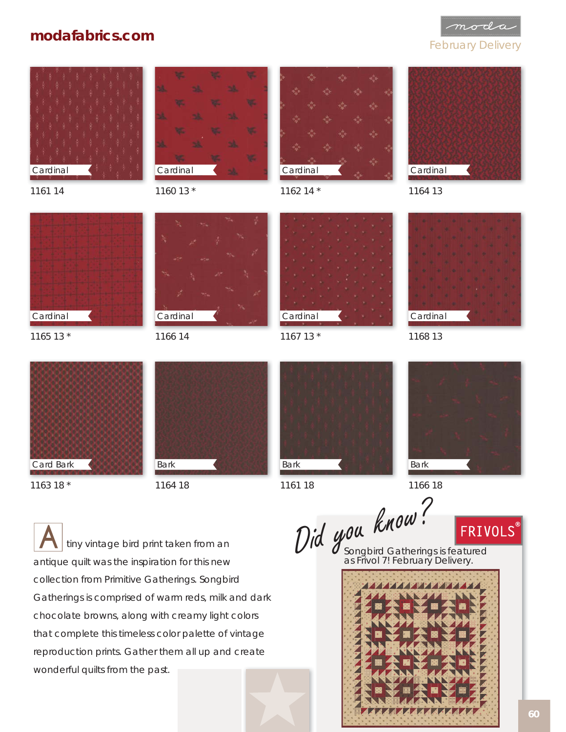### **modafabrics.com**

mod

#### February Delivery





1160 13 \*



1162 14 \*



1164 13





1165 13 \*

1161 14



1166 14



1167 13 \*



1168 13



1163 18 \*



1164 18



1161 18

Bark

 tiny vintage bird print taken from an antique quilt was the inspiration for this new collection from Primitive Gatherings. *Songbird Gatherings* is comprised of warm reds, milk and dark chocolate browns, along with creamy light colors that complete this timeless color palette of vintage reproduction prints. Gather them all up and create wonderful quilts from the past.

Did you know?<br>Did you know?<br><u>ERIVOLS</u>

Songbird Gatherings is featured

1166 18

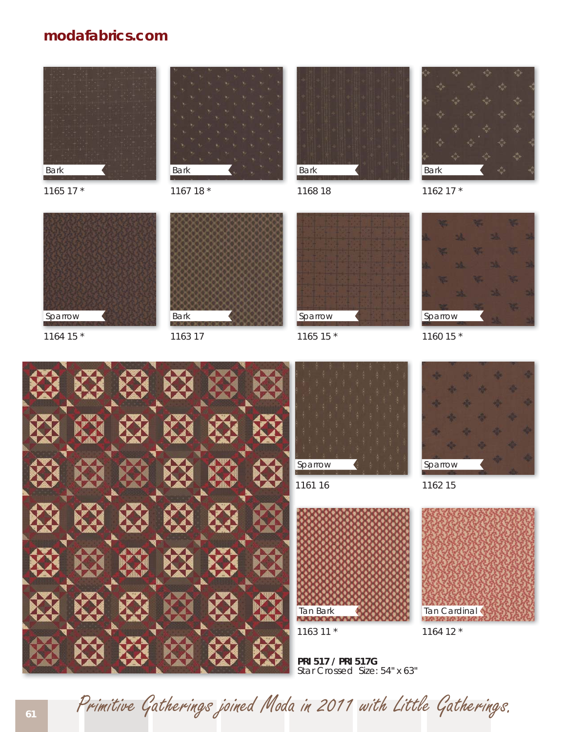## **modafabrics.com**



1165 17 \*



1167 18 \*



1168 18



1162 17 \*



1164 15 \*



1163 17



1165 15 \*







Sparrow

1161 16



1163 11 \*

Tan Cardinal

1164 12 \*

1162 15

Sparrow

**PRI 517 / PRI 517G**  Star Crossed Size: 54" x 63"

**<sup>61</sup>** Primitive Gatherings joined Moda in 2011 with Little Gatherings.